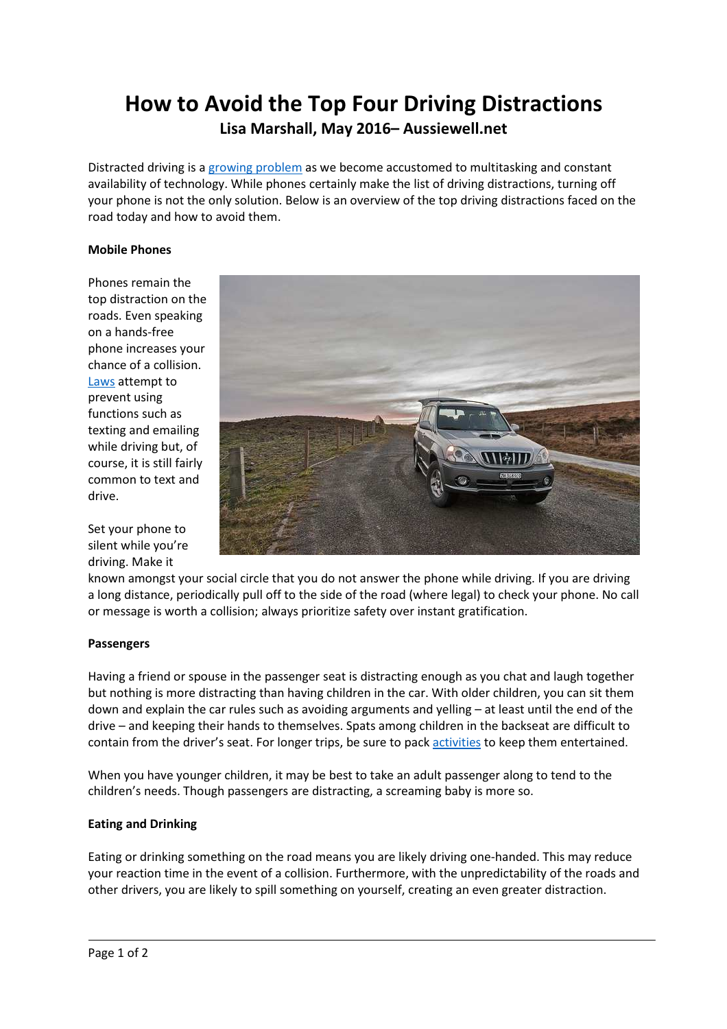# How to Avoid the Top Four Driving Distractions Lisa Marshall, May 2016– Aussiewell.net

Distracted driving is a growing problem as we become accustomed to multitasking and constant availability of technology. While phones certainly make the list of driving distractions, turning off your phone is not the only solution. Below is an overview of the top driving distractions faced on the road today and how to avoid them.

### Mobile Phones

Phones remain the top distraction on the roads. Even speaking on a hands-free phone increases your chance of a collision. Laws attempt to prevent using functions such as texting and emailing while driving but, of course, it is still fairly common to text and drive.

Set your phone to silent while you're driving. Make it



known amongst your social circle that you do not answer the phone while driving. If you are driving a long distance, periodically pull off to the side of the road (where legal) to check your phone. No call or message is worth a collision; always prioritize safety over instant gratification.

#### Passengers

Having a friend or spouse in the passenger seat is distracting enough as you chat and laugh together but nothing is more distracting than having children in the car. With older children, you can sit them down and explain the car rules such as avoiding arguments and yelling – at least until the end of the drive – and keeping their hands to themselves. Spats among children in the backseat are difficult to contain from the driver's seat. For longer trips, be sure to pack activities to keep them entertained.

When you have younger children, it may be best to take an adult passenger along to tend to the children's needs. Though passengers are distracting, a screaming baby is more so.

#### Eating and Drinking

Eating or drinking something on the road means you are likely driving one-handed. This may reduce your reaction time in the event of a collision. Furthermore, with the unpredictability of the roads and other drivers, you are likely to spill something on yourself, creating an even greater distraction.